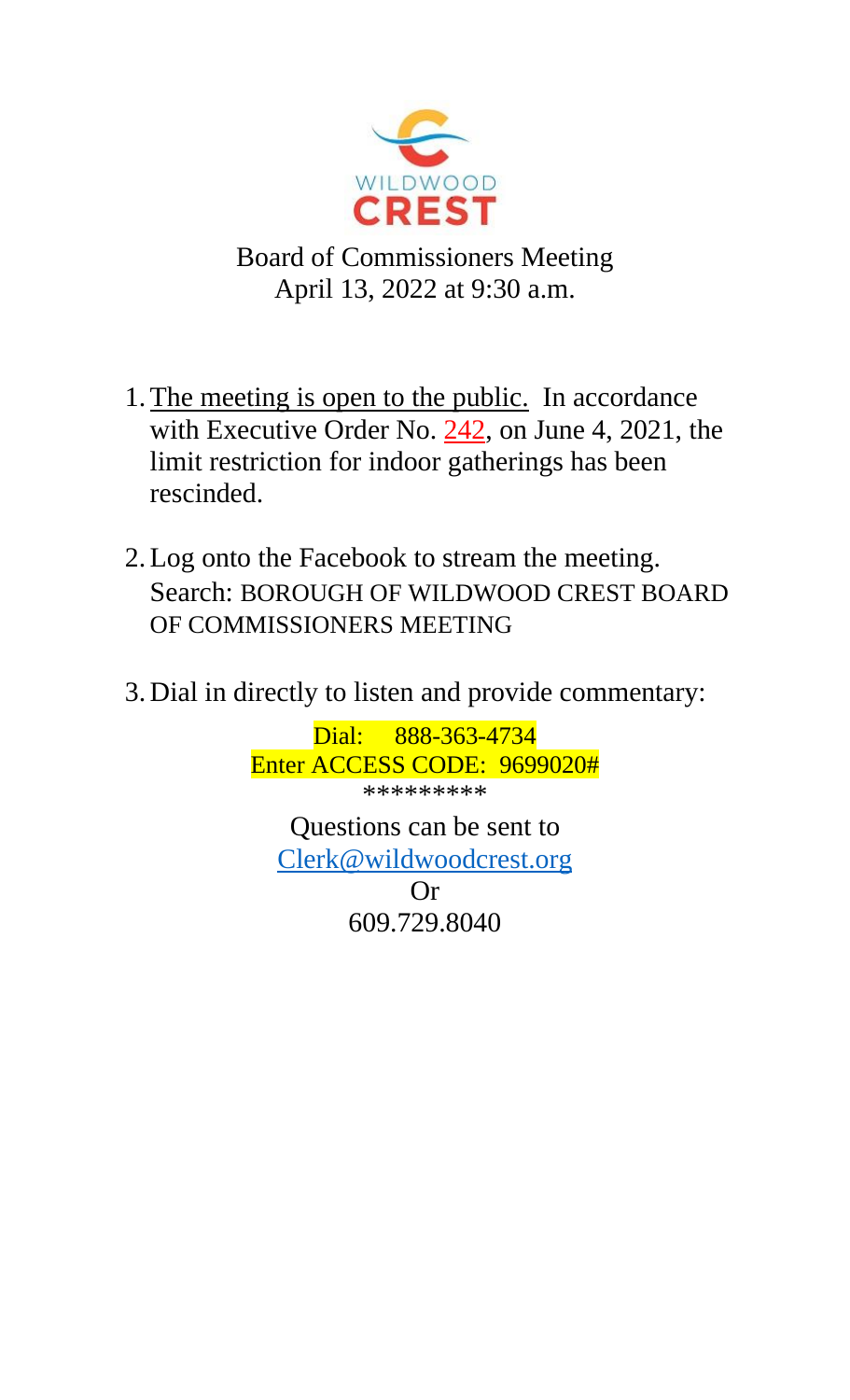

Board of Commissioners Meeting April 13, 2022 at 9:30 a.m.

- 1.The meeting is open to the public. In accordance with Executive Order No.  $242$ , on June 4, 2021, the limit restriction for indoor gatherings has been rescinded.
- 2.Log onto the Facebook to stream the meeting. Search: BOROUGH OF WILDWOOD CREST BOARD OF COMMISSIONERS MEETING
- 3. Dial in directly to listen and provide commentary:

Dial: 888-363-4734 Enter ACCESS CODE: 9699020#

\*\*\*\*\*\*\*\*\*

Questions can be sent to [Clerk@wildwoodcrest.org](mailto:Clerk@wildwoodcrest.org)

> Or 609.729.8040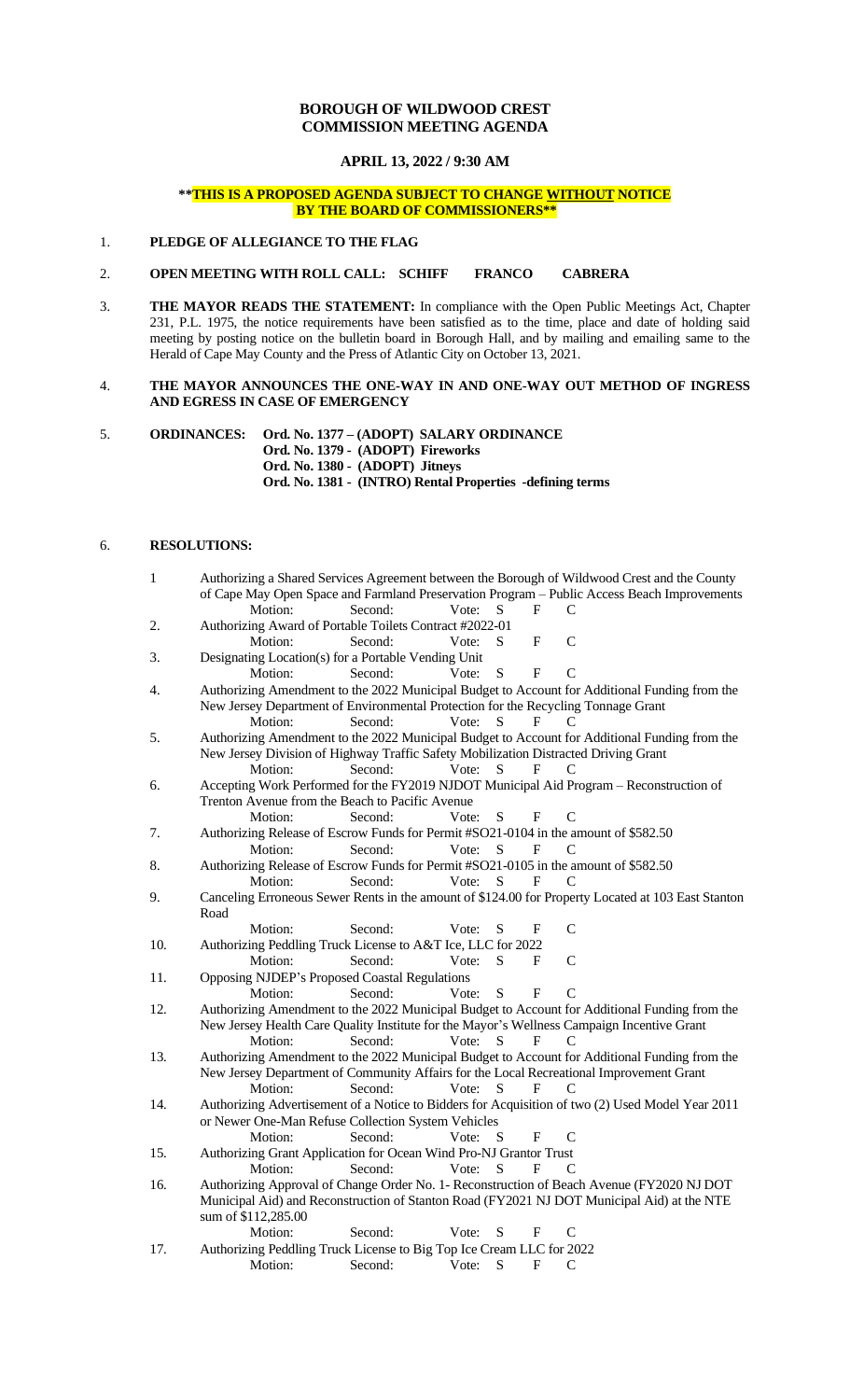# **BOROUGH OF WILDWOOD CREST COMMISSION MEETING AGENDA**

**APRIL 13, 2022 / 9:30 AM**

## **\*\*THIS IS A PROPOSED AGENDA SUBJECT TO CHANGE WITHOUT NOTICE BY THE BOARD OF COMMISSIONERS\*\***

## 1. **PLEDGE OF ALLEGIANCE TO THE FLAG**

## 2. **OPEN MEETING WITH ROLL CALL: SCHIFF FRANCO CABRERA**

3. **THE MAYOR READS THE STATEMENT:** In compliance with the Open Public Meetings Act, Chapter 231, P.L. 1975, the notice requirements have been satisfied as to the time, place and date of holding said meeting by posting notice on the bulletin board in Borough Hall, and by mailing and emailing same to the Herald of Cape May County and the Press of Atlantic City on October 13, 2021.

## 4. **THE MAYOR ANNOUNCES THE ONE-WAY IN AND ONE-WAY OUT METHOD OF INGRESS AND EGRESS IN CASE OF EMERGENCY**

5. **ORDINANCES: Ord. No. 1377 – (ADOPT) SALARY ORDINANCE Ord. No. 1379 - (ADOPT) Fireworks Ord. No. 1380 - (ADOPT) Jitneys Ord. No. 1381 - (INTRO) Rental Properties -defining terms**

## 6. **RESOLUTIONS:**

| $\mathbf{1}$ | Authorizing a Shared Services Agreement between the Borough of Wildwood Crest and the County |         |       |           |              |                                                                                                    |
|--------------|----------------------------------------------------------------------------------------------|---------|-------|-----------|--------------|----------------------------------------------------------------------------------------------------|
|              |                                                                                              |         |       |           |              | of Cape May Open Space and Farmland Preservation Program - Public Access Beach Improvements        |
|              | Motion:                                                                                      | Second: | Vote: | S         | F            | C                                                                                                  |
| 2.           | Authorizing Award of Portable Toilets Contract #2022-01                                      |         |       |           |              |                                                                                                    |
|              | Motion:                                                                                      | Second: | Vote: | S         | F            | C                                                                                                  |
| 3.           | Designating Location(s) for a Portable Vending Unit                                          |         |       |           |              |                                                                                                    |
|              | Motion:                                                                                      | Second: | Vote: | ${\bf S}$ | $\mathbf{F}$ | $\overline{C}$                                                                                     |
| 4.           |                                                                                              |         |       |           |              | Authorizing Amendment to the 2022 Municipal Budget to Account for Additional Funding from the      |
|              | New Jersey Department of Environmental Protection for the Recycling Tonnage Grant            |         |       |           |              |                                                                                                    |
|              | Motion:                                                                                      | Second: | Vote: | S         | F            | C                                                                                                  |
| 5.           |                                                                                              |         |       |           |              | Authorizing Amendment to the 2022 Municipal Budget to Account for Additional Funding from the      |
|              | New Jersey Division of Highway Traffic Safety Mobilization Distracted Driving Grant          |         |       |           |              |                                                                                                    |
|              | Motion:                                                                                      | Second: | Vote: | S         | F            | C                                                                                                  |
| 6.           |                                                                                              |         |       |           |              | Accepting Work Performed for the FY2019 NJDOT Municipal Aid Program - Reconstruction of            |
|              | Trenton Avenue from the Beach to Pacific Avenue                                              |         |       |           |              |                                                                                                    |
|              | Motion:                                                                                      | Second: | Vote: | S         | F            | C                                                                                                  |
| 7.           | Authorizing Release of Escrow Funds for Permit #SO21-0104 in the amount of \$582.50          |         |       |           |              |                                                                                                    |
|              | Motion:                                                                                      | Second: | Vote: | S         | F            | C                                                                                                  |
| 8.           | Authorizing Release of Escrow Funds for Permit #SO21-0105 in the amount of \$582.50          |         |       |           |              |                                                                                                    |
|              | Motion:                                                                                      | Second: | Vote: | S         | F            | C                                                                                                  |
| 9.           |                                                                                              |         |       |           |              | Canceling Erroneous Sewer Rents in the amount of \$124.00 for Property Located at 103 East Stanton |
|              | Road                                                                                         |         |       |           |              |                                                                                                    |
|              | Motion:                                                                                      | Second: | Vote: | S         | F            | C                                                                                                  |
| 10.          | Authorizing Peddling Truck License to A&T Ice, LLC for 2022                                  |         |       |           |              |                                                                                                    |
|              | Motion:                                                                                      | Second: | Vote: | S         | F            | $\mathcal{C}$                                                                                      |
| 11.          | Opposing NJDEP's Proposed Coastal Regulations                                                |         |       |           |              |                                                                                                    |
|              | Motion:                                                                                      | Second: | Vote: | S         | F            | $\overline{C}$                                                                                     |
| 12.          |                                                                                              |         |       |           |              | Authorizing Amendment to the 2022 Municipal Budget to Account for Additional Funding from the      |
|              |                                                                                              |         |       |           |              | New Jersey Health Care Quality Institute for the Mayor's Wellness Campaign Incentive Grant         |
|              | Motion:                                                                                      | Second: | Vote: | S         | F            | C                                                                                                  |
| 13.          |                                                                                              |         |       |           |              | Authorizing Amendment to the 2022 Municipal Budget to Account for Additional Funding from the      |
|              |                                                                                              |         |       |           |              | New Jersey Department of Community Affairs for the Local Recreational Improvement Grant            |
|              | Motion:                                                                                      | Second: | Vote: | S         | F            |                                                                                                    |
| 14.          |                                                                                              |         |       |           |              | Authorizing Advertisement of a Notice to Bidders for Acquisition of two (2) Used Model Year 2011   |
|              | or Newer One-Man Refuse Collection System Vehicles                                           |         |       |           |              |                                                                                                    |
|              | Motion:                                                                                      | Second: | Vote: | ${\bf S}$ | F            | C                                                                                                  |
| 15.          | Authorizing Grant Application for Ocean Wind Pro-NJ Grantor Trust                            |         |       |           |              |                                                                                                    |
|              | Motion:                                                                                      | Second: | Vote: | S         | F            | C                                                                                                  |
| 16.          | Authorizing Approval of Change Order No. 1- Reconstruction of Beach Avenue (FY2020 NJ DOT    |         |       |           |              |                                                                                                    |
|              | Municipal Aid) and Reconstruction of Stanton Road (FY2021 NJ DOT Municipal Aid) at the NTE   |         |       |           |              |                                                                                                    |
|              | sum of \$112,285.00                                                                          |         |       |           |              |                                                                                                    |
|              | Motion:                                                                                      | Second: | Vote: | ${\bf S}$ | F            | C                                                                                                  |
| 17.          | Authorizing Peddling Truck License to Big Top Ice Cream LLC for 2022                         |         |       |           |              |                                                                                                    |
|              | Motion:                                                                                      | Second: | Vote: | S         | F            | C                                                                                                  |